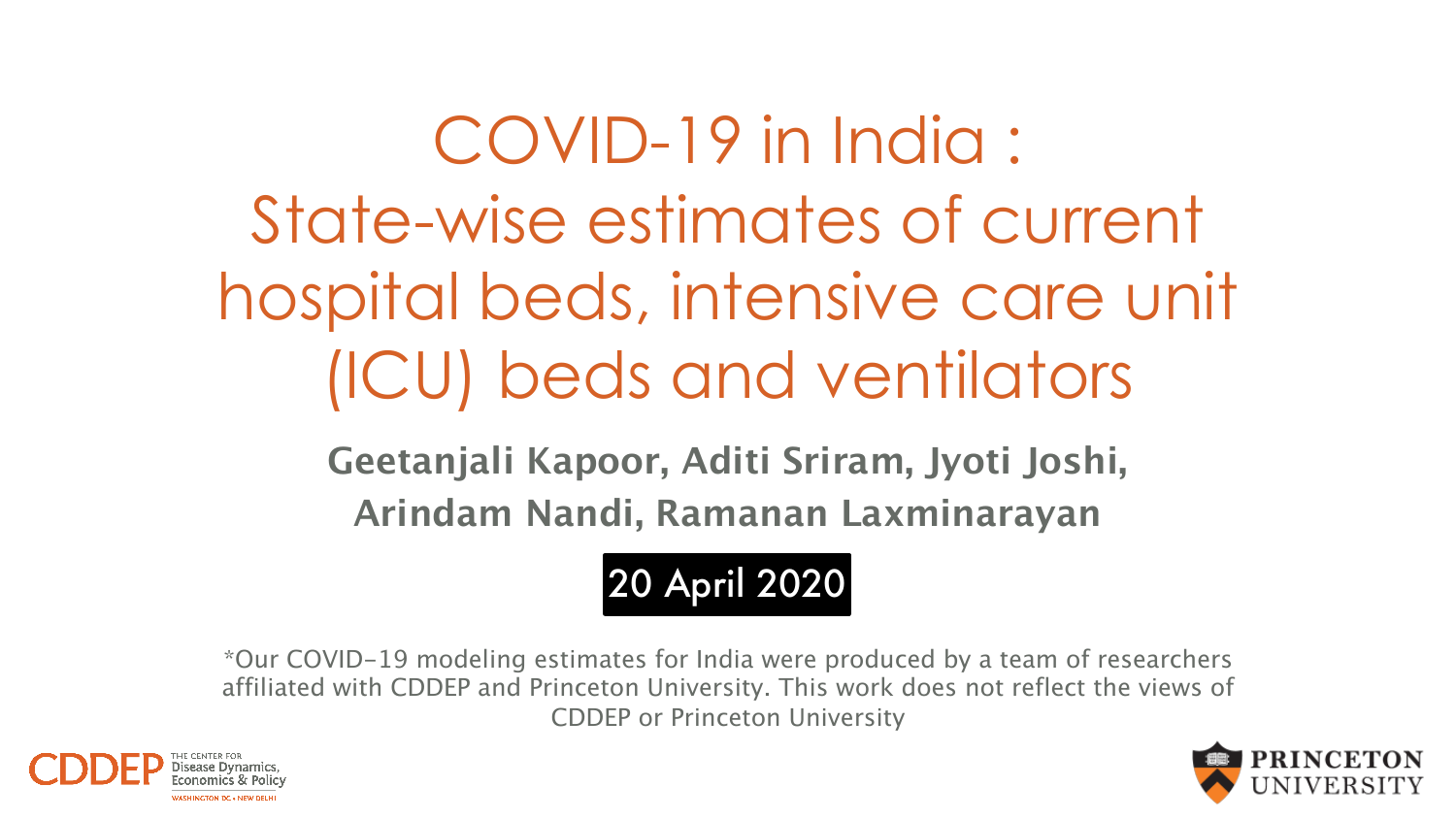COVID-19 in India : State-wise estimates of current hospital beds, intensive care unit (ICU) beds and ventilators

> **Geetanjali Kapoor, Aditi Sriram, Jyoti Joshi, Arindam Nandi, Ramanan Laxminarayan**

# 20 April 2020

*\*Our COVID-19 modeling estimates for India were produced by a team of researchers affiliated with CDDEP and Princeton University. This work does not reflect the views of CDDEP or Princeton University*



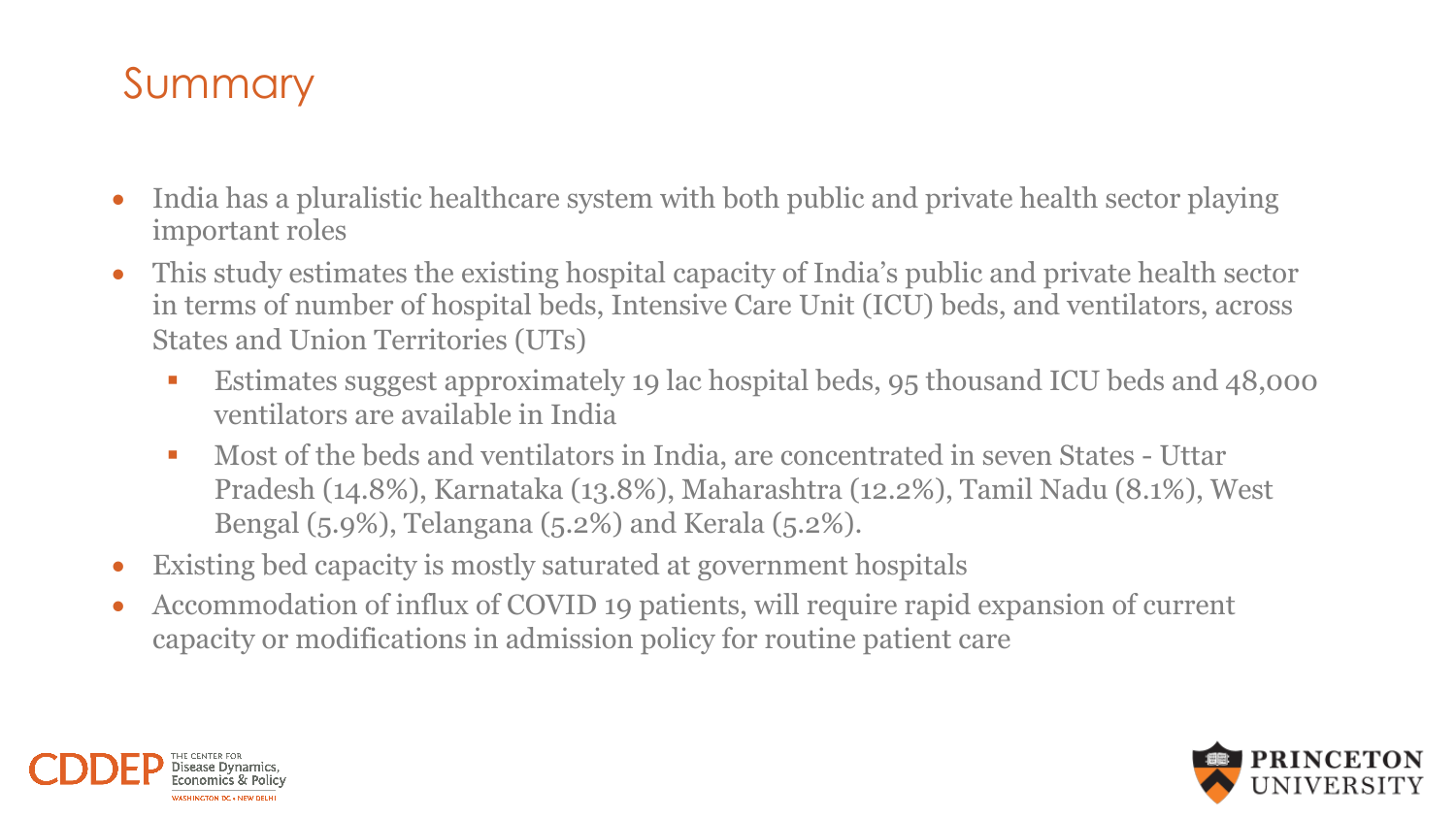## Summary

- India has a pluralistic healthcare system with both public and private health sector playing important roles
- This study estimates the existing hospital capacity of India's public and private health sector in terms of number of hospital beds, Intensive Care Unit (ICU) beds, and ventilators, across States and Union Territories (UTs)
	- Estimates suggest approximately 19 lac hospital beds, 95 thousand ICU beds and 48,000 ventilators are available in India
	- Most of the beds and ventilators in India, are concentrated in seven States Uttar Pradesh (14.8%), Karnataka (13.8%), Maharashtra (12.2%), Tamil Nadu (8.1%), West Bengal (5.9%), Telangana (5.2%) and Kerala (5.2%).
- Existing bed capacity is mostly saturated at government hospitals
- Accommodation of influx of COVID 19 patients, will require rapid expansion of current capacity or modifications in admission policy for routine patient care



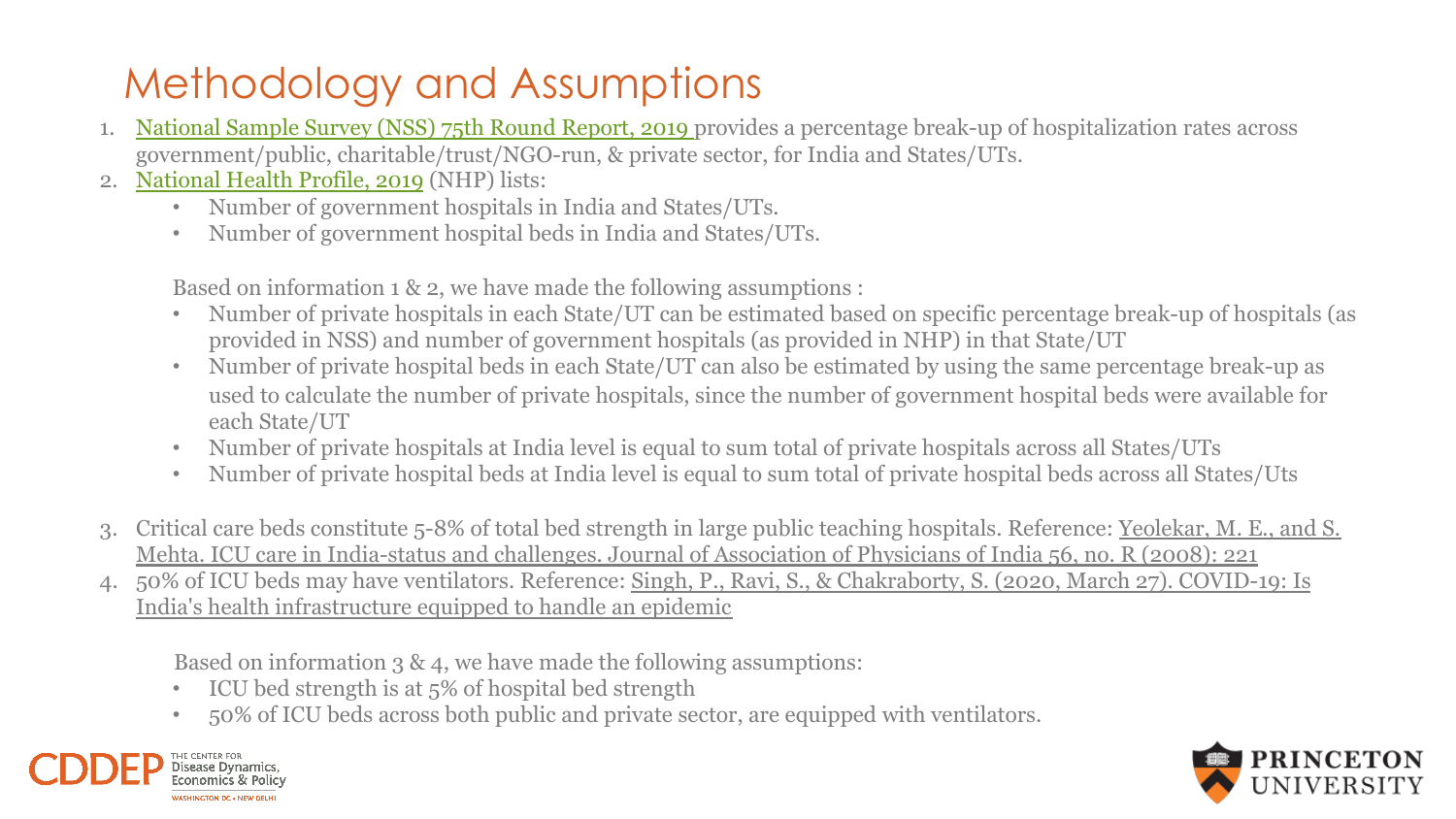# Methodology and Assumptions

- 1. [National Sample Survey \(NSS\) 75th Round Report, 2019](http://www.mospi.gov.in/sites/default/files/publication_reports/KI_Health_75th_Final.pdf) provides a percentage break-up of hospitalization rates across government/public, charitable/trust/NGO-run, & private sector, for India and States/UTs.
- 2. [National Health Profile, 2019](https://www.thehinducentre.com/resources/article29841374.ece/binary/8603321691572511495.pdf) (NHP) lists:
	- Number of government hospitals in India and States/UTs.
	- Number of government hospital beds in India and States/UTs.

Based on information 1 & 2, we have made the following assumptions :

- Number of private hospitals in each State/UT can be estimated based on specific percentage break-up of hospitals (as provided in NSS) and number of government hospitals (as provided in NHP) in that State/UT
- Number of private hospital beds in each State/UT can also be estimated by using the same percentage break-up as used to calculate the number of private hospitals, since the number of government hospital beds were available for each State/UT
- Number of private hospitals at India level is equal to sum total of private hospitals across all States/UTs
- Number of private hospital beds at India level is equal to sum total of private hospital beds across all States/Uts
- 3. [Critical care beds constitute 5-8% of total bed strength in large public teaching hospitals. Reference: Yeolekar, M. E., and S.](https://japi.org/april2008/E-221.pdf)  Mehta. ICU care in India-status and challenges. Journal of Association of Physicians of India 56, no. R (2008): 221
- 4. [50% of ICU beds may have ventilators. Reference: Singh, P., Ravi, S., & Chakraborty, S. \(2020, March 27\). COVID-19: Is](https://www.brookings.edu/blog/up-front/2020/03/24/is-indias-health-infrastructure-equipped-to-handle-an-epidemic/) India's health infrastructure equipped to handle an epidemic

Based on information 3 & 4, we have made the following assumptions:

- ICU bed strength is at 5% of hospital bed strength
- 50% of ICU beds across both public and private sector, are equipped with ventilators.



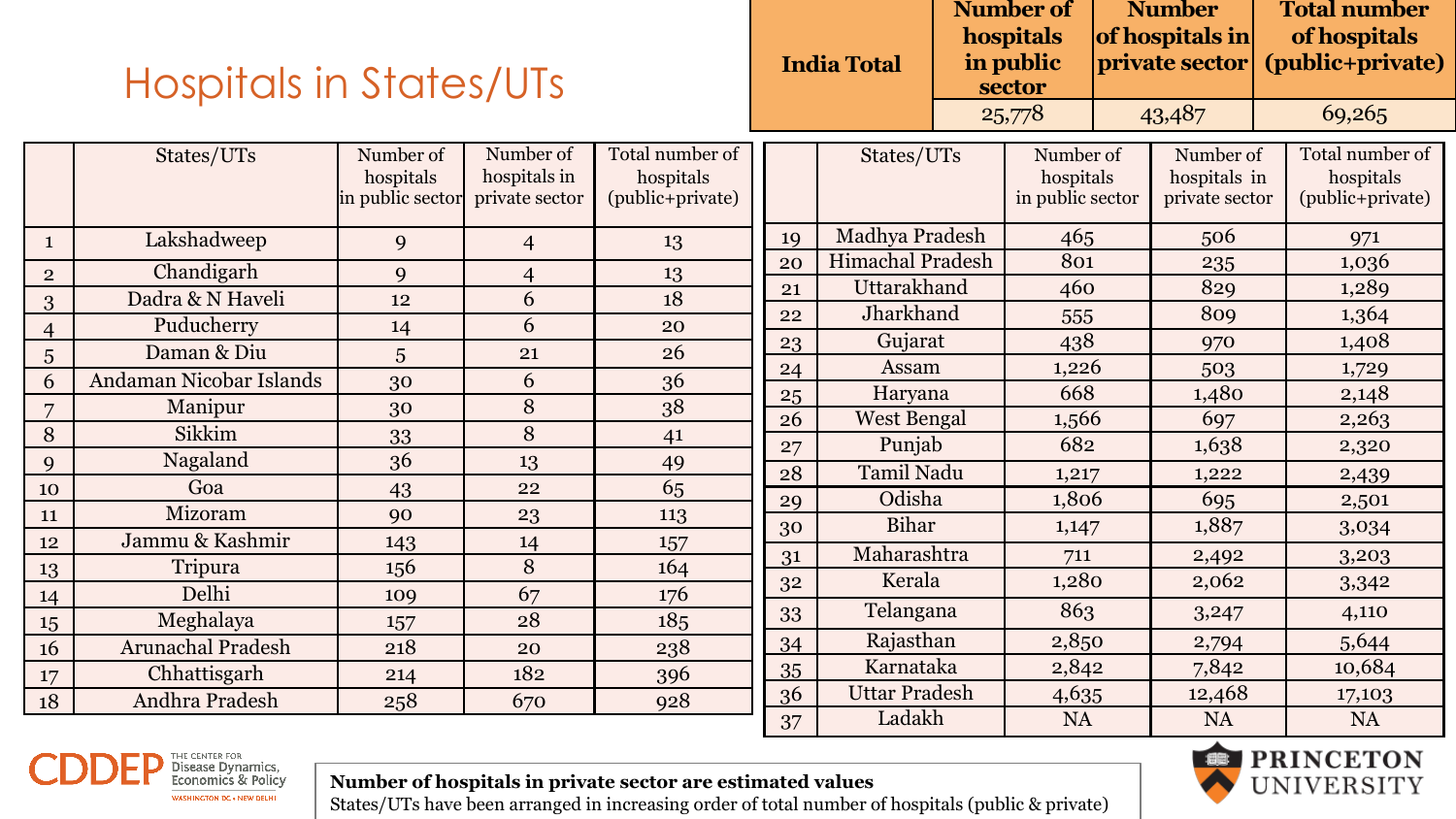|                | <b>Hospitals in States/UTs</b> |                                            |                                             |                                                  |    | <b>India Total</b>   |  | Number of<br>hospitals<br>in public<br>sector |        | <b>Number</b><br>of hospitals in<br>private sector |  | <b>Total number</b><br>of hospitals<br>(public+private) |  |  |
|----------------|--------------------------------|--------------------------------------------|---------------------------------------------|--------------------------------------------------|----|----------------------|--|-----------------------------------------------|--------|----------------------------------------------------|--|---------------------------------------------------------|--|--|
|                |                                |                                            |                                             |                                                  |    |                      |  | 25,778                                        |        | 43,487                                             |  | 69,265                                                  |  |  |
|                | States/UTs                     | Number of<br>hospitals<br>in public sector | Number of<br>hospitals in<br>private sector | Total number of<br>hospitals<br>(public+private) |    | States/UTs           |  | Number of<br>hospitals<br>in public sector    |        | Number of<br>hospitals in<br>private sector        |  | Total number of<br>hospitals<br>(public+private)        |  |  |
| $\mathbf{1}$   | Lakshadweep                    | 9                                          | $\overline{4}$                              | 13                                               | 19 | Madhya Pradesh       |  | 465                                           |        | 506                                                |  | 971                                                     |  |  |
| $\overline{2}$ | Chandigarh                     | 9                                          | $\overline{4}$                              | 13                                               | 20 | Himachal Pradesh     |  | 801                                           |        | 235                                                |  | 1,036                                                   |  |  |
| 3              | Dadra & N Haveli               | 12                                         | 6                                           | 18                                               | 21 | Uttarakhand          |  | 460                                           |        | 829                                                |  | 1,289                                                   |  |  |
| $\overline{4}$ | Puducherry                     | 14                                         | 6                                           | 20                                               | 22 | Jharkhand            |  | 555                                           |        | 809                                                |  | 1,364                                                   |  |  |
| 5              | Daman & Diu                    | 5                                          | 21                                          | 26                                               | 23 | Gujarat              |  | 438                                           |        | 970                                                |  | 1,408                                                   |  |  |
| 6              | Andaman Nicobar Islands        | 30                                         | 6                                           | 36                                               | 24 | Assam                |  | 1,226                                         |        | 503                                                |  | 1,729                                                   |  |  |
| $\overline{7}$ | Manipur                        | 30                                         | 8                                           | 38                                               | 25 | Haryana              |  | 668                                           |        | 1,480                                              |  | 2,148                                                   |  |  |
| $\, 8$         | Sikkim                         | 33                                         | 8                                           | 41                                               | 26 | <b>West Bengal</b>   |  | 1,566                                         |        | 697                                                |  | 2,263                                                   |  |  |
| $\mathbf{Q}$   | Nagaland                       | 36                                         | 13                                          | 49                                               | 27 | Punjab               |  | 682                                           |        | 1,638                                              |  | 2,320                                                   |  |  |
| 10             | Goa                            | 43                                         | 22                                          | 65                                               | 28 | <b>Tamil Nadu</b>    |  | 1,217                                         |        | 1,222                                              |  | 2,439                                                   |  |  |
| 11             | Mizoram                        | 90                                         | 23                                          | 113                                              | 29 | Odisha               |  | 1,806                                         |        | 695                                                |  | 2,501                                                   |  |  |
| 12             | Jammu & Kashmir                | 143                                        | 14                                          | 157                                              | 30 | <b>Bihar</b>         |  | 1,147                                         |        | 1,887                                              |  | 3,034                                                   |  |  |
| 13             | Tripura                        | 156                                        | 8                                           | 164                                              | 31 | Maharashtra          |  | 711                                           |        | 2,492                                              |  | 3,203                                                   |  |  |
| 14             | Delhi                          | 109                                        | 67                                          | 176                                              | 32 | Kerala               |  | 1,280                                         |        | 2,062                                              |  | 3,342                                                   |  |  |
| 15             | Meghalaya                      | 157                                        | 28                                          | 185                                              | 33 | Telangana            |  | 863                                           |        | 3,247                                              |  | 4,110                                                   |  |  |
| 16             | <b>Arunachal Pradesh</b>       | 218                                        | 20                                          | 238                                              | 34 | Rajasthan            |  | 2,850                                         |        | 2,794                                              |  | 5,644                                                   |  |  |
| 17             | Chhattisgarh                   | 214                                        | 182                                         | 396                                              | 35 | Karnataka            |  | 2,842                                         |        | 7,842                                              |  | 10,684                                                  |  |  |
| 18             | Andhra Pradesh                 | 258                                        | 670                                         | 928                                              | 36 | <b>Uttar Pradesh</b> |  | 4,635                                         | 12,468 |                                                    |  | 17,103                                                  |  |  |
|                |                                |                                            |                                             |                                                  | 37 | Ladakh               |  | <b>NA</b>                                     |        | <b>NA</b>                                          |  | <b>NA</b>                                               |  |  |



**Number of hospitals in private sector are estimated values**



States/UTs have been arranged in increasing order of total number of hospitals (public & private)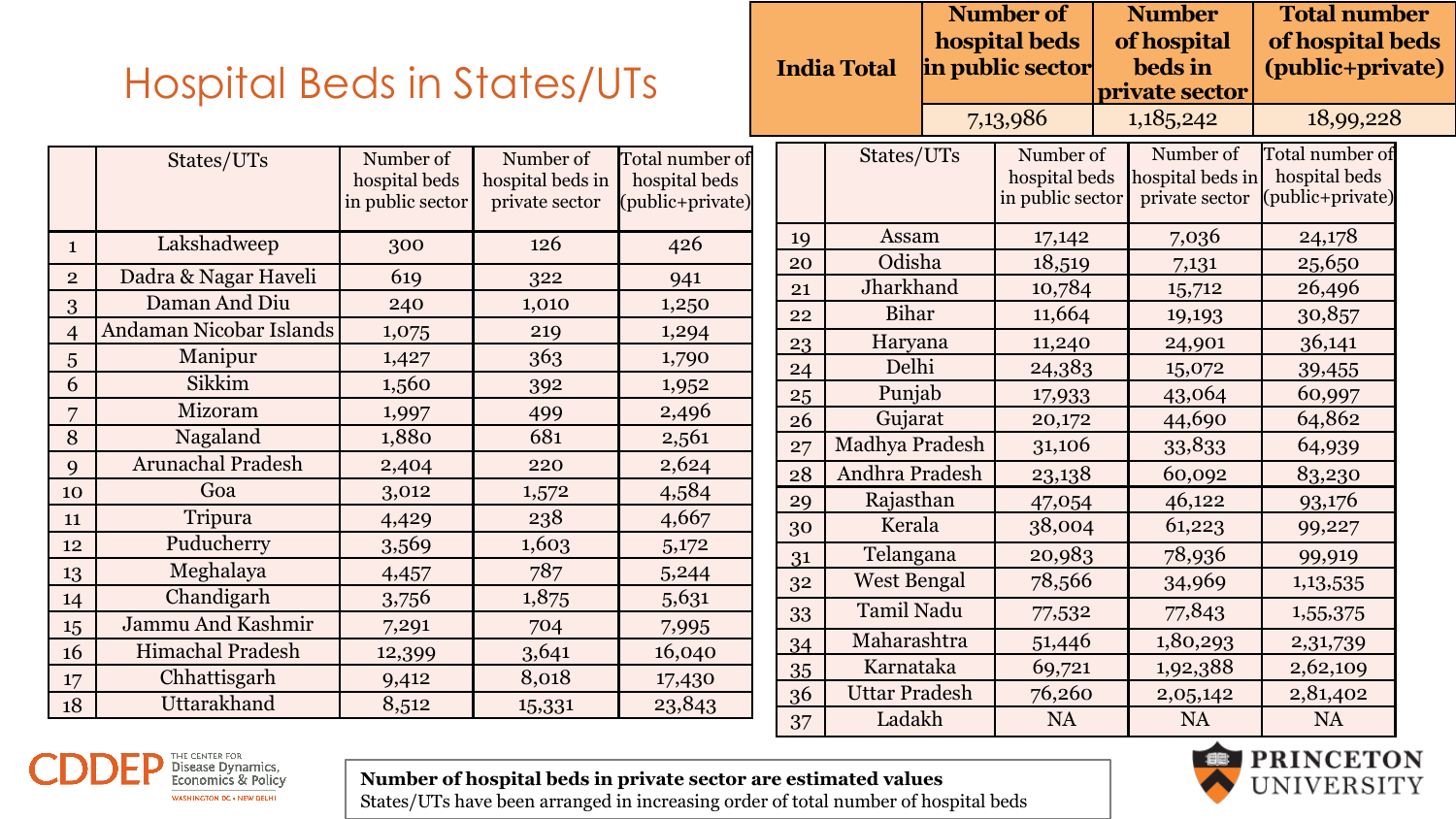| <b>Hospital Beds in States/UTs</b> |  |  |
|------------------------------------|--|--|
|                                    |  |  |

|  |    | <b>India Total</b>   | <b>Number of</b><br>hospital beds<br>in public sector | <b>Number</b><br>of hospital<br>beds in<br>private sector | <b>Total number</b><br>of hospital beds<br>(public+private) |  |
|--|----|----------------------|-------------------------------------------------------|-----------------------------------------------------------|-------------------------------------------------------------|--|
|  |    |                      | 7,13,986                                              | 1,185,242                                                 | 18,99,228                                                   |  |
|  |    | States/UTs           | Number of<br>hospital beds<br>in public sector        | Number of<br>hospital beds in<br>private sector           | Total number of<br>hospital beds<br>(public+private)        |  |
|  | 19 | Assam                | 17,142                                                | 7,036                                                     | 24,178                                                      |  |
|  | 20 | Odisha               | 18,519                                                | 7,131                                                     | 25,650                                                      |  |
|  | 21 | Jharkhand            | 10,784                                                | 15,712                                                    | 26,496                                                      |  |
|  | 22 | <b>Bihar</b>         | 11,664                                                | 19,193                                                    | 30,857                                                      |  |
|  | 23 | Haryana              | 11,240                                                | 24,901                                                    | 36,141                                                      |  |
|  | 24 | Delhi                | 24,383                                                | 15,072                                                    | 39,455                                                      |  |
|  | 25 | Punjab               | 17,933                                                | 43,064                                                    | 60,997                                                      |  |
|  | 26 | Gujarat              | 20,172                                                | 44,690                                                    | 64,862                                                      |  |
|  | 27 | Madhya Pradesh       | 31,106                                                | 33,833                                                    | 64,939                                                      |  |
|  | 28 | Andhra Pradesh       | 23,138                                                | 60,092                                                    | 83,230                                                      |  |
|  | 29 | Rajasthan            | 47,054                                                | 46,122                                                    | 93,176                                                      |  |
|  | 30 | Kerala               | 38,004                                                | 61,223                                                    | 99,227                                                      |  |
|  | 31 | Telangana            | 20,983                                                | 78,936                                                    | 99,919                                                      |  |
|  | 32 | <b>West Bengal</b>   | 78,566                                                | 34,969                                                    | 1,13,535                                                    |  |
|  | 33 | <b>Tamil Nadu</b>    | 77,532                                                | 77,843                                                    | 1,55,375                                                    |  |
|  | 34 | Maharashtra          | 51,446                                                | 1,80,293                                                  | 2,31,739                                                    |  |
|  | 35 | Karnataka            | 69,721                                                | 1,92,388                                                  | 2,62,109                                                    |  |
|  | 36 | <b>Uttar Pradesh</b> | 76,260                                                | 2,05,142                                                  | 2,81,402                                                    |  |
|  | 37 | Ladakh               | <b>NA</b>                                             | <b>NA</b>                                                 | <b>NA</b>                                                   |  |



Disease Dynamics,<br>Economics & Policy

WASHINGTON DC . NEW DELHI





States/UTs have been arranged in increasing order of total number of hospital beds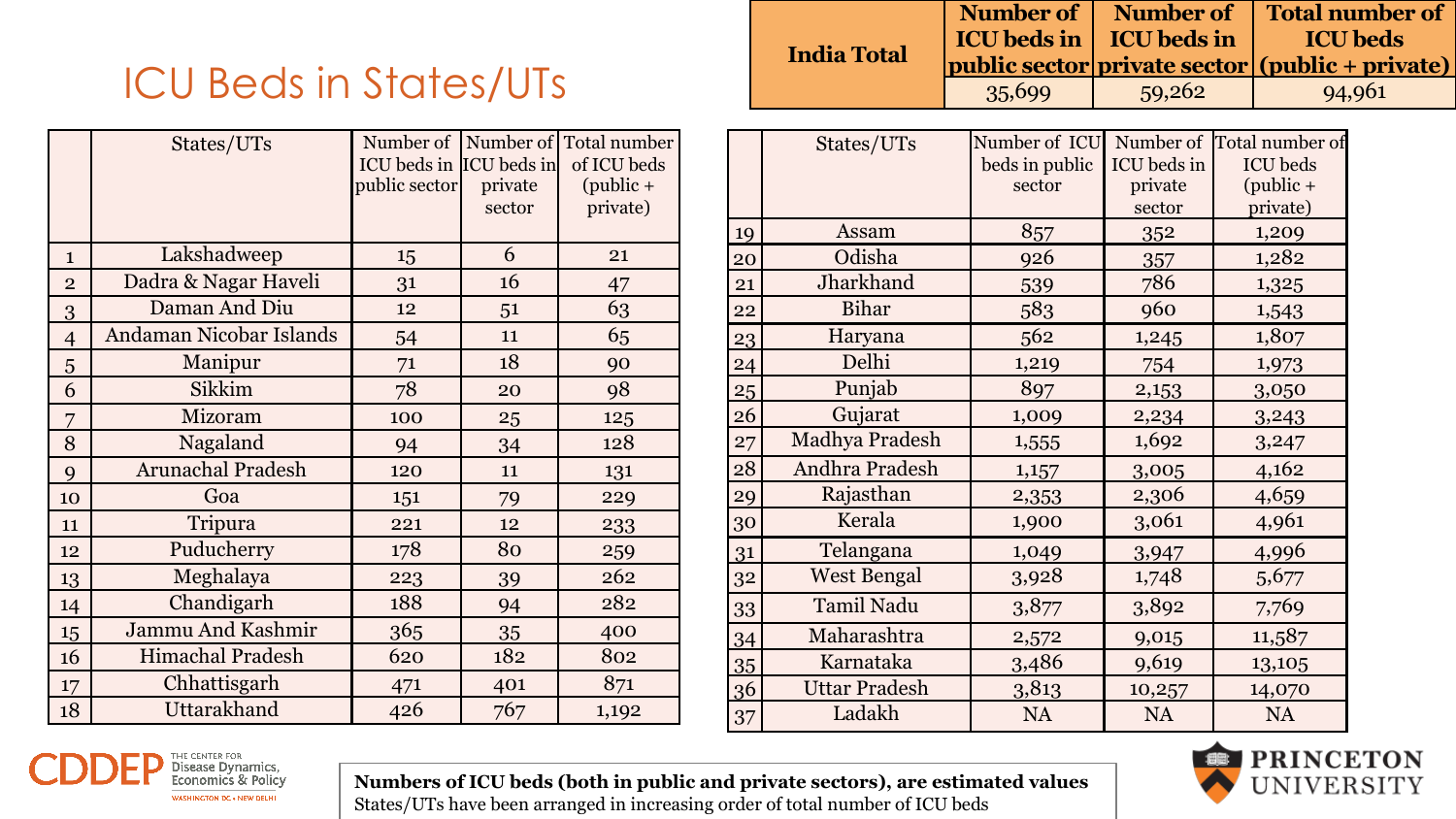# ICU Beds in States/UTs

|                | States/UTs               | ICU beds in ICU beds in<br>public sector | private<br>sector | Number of Number of Total number<br>of ICU beds<br>$(public +$<br>private) |
|----------------|--------------------------|------------------------------------------|-------------------|----------------------------------------------------------------------------|
| $\mathbf{1}$   | Lakshadweep              | 15                                       | 6                 | 21                                                                         |
| $\overline{2}$ | Dadra & Nagar Haveli     | 31                                       | 16                | 47                                                                         |
| 3              | Daman And Diu            | 12                                       | 51                | 63                                                                         |
| $\overline{4}$ | Andaman Nicobar Islands  | 54                                       | 11                | 65                                                                         |
| 5              | Manipur                  | 71                                       | 18                | 90                                                                         |
| 6              | Sikkim                   | 78                                       | 20                | 98                                                                         |
| 7              | Mizoram                  | 100                                      | 25                | 125                                                                        |
| 8              | Nagaland                 | 94                                       | 34                | 128                                                                        |
| 9              | <b>Arunachal Pradesh</b> | 120                                      | 11                | 131                                                                        |
| 10             | Goa                      | 151                                      | 79                | 229                                                                        |
| 11             | Tripura                  | 221                                      | 12                | 233                                                                        |
| 12             | Puducherry               | 178                                      | 80                | 259                                                                        |
| 13             | Meghalaya                | 223                                      | 39                | 262                                                                        |
| 14             | Chandigarh               | 188                                      | 94                | 282                                                                        |
| 15             | <b>Jammu And Kashmir</b> | 365                                      | 35                | 400                                                                        |
| 16             | Himachal Pradesh         | 620                                      | 182               | 802                                                                        |
| 17             | Chhattisgarh             | 471                                      | 401               | 871                                                                        |
| 18             | Uttarakhand              | 426                                      | 767               | 1,192                                                                      |

|                    |        |                                       | Number of   Number of   Total number of                |
|--------------------|--------|---------------------------------------|--------------------------------------------------------|
|                    |        | <b>ICU</b> beds in <b>ICU</b> beds in | <b>ICU beds</b>                                        |
| <b>India Total</b> |        |                                       | <i>public sector private sector (public + private)</i> |
|                    | 35,699 | 59,262                                | 94,961                                                 |

|                  | States/UTs           | Number of ICU  |             | Number of Total number of |
|------------------|----------------------|----------------|-------------|---------------------------|
|                  |                      | beds in public | ICU beds in | <b>ICU</b> beds           |
|                  |                      | sector         | private     | $(public +$               |
|                  |                      |                | sector      | private)                  |
| 19               | Assam                | 857            | 352         | 1,209                     |
| 20               | Odisha               | 926            | 357         | 1,282                     |
| 21               | Jharkhand            | 539            | 786         | 1,325                     |
| 22               | <b>Bihar</b>         | 583            | 960         | 1,543                     |
| 23               | Haryana              | 562            | 1,245       | 1,807                     |
| 24               | Delhi                | 1,219          | 754         | 1,973                     |
| $25\overline{)}$ | Punjab               | 897            | 2,153       | 3,050                     |
| 26               | Gujarat              | 1,009          | 2,234       | 3,243                     |
| 27               | Madhya Pradesh       | 1,555          | 1,692       | 3,247                     |
| 28               | Andhra Pradesh       | 1,157          | 3,005       | 4,162                     |
| 29               | Rajasthan            | 2,353          | 2,306       | 4,659                     |
| 30               | Kerala               | 1,900          | 3,061       | 4,961                     |
| 31               | Telangana            | 1,049          | 3,947       | 4,996                     |
| 32               | <b>West Bengal</b>   | 3,928          | 1,748       | 5,677                     |
| 33               | Tamil Nadu           | 3,877          | 3,892       | 7,769                     |
| 34               | Maharashtra          | 2,572          | 9,015       | 11,587                    |
| 35               | Karnataka            | 3,486          | 9,619       | 13,105                    |
| 36               | <b>Uttar Pradesh</b> | 3,813          | 10,257      | 14,070                    |
| 37               | Ladakh               | NA             | NA          | NA                        |



**Numbers of ICU beds (both in public and private sectors), are estimated values** States/UTs have been arranged in increasing order of total number of ICU beds

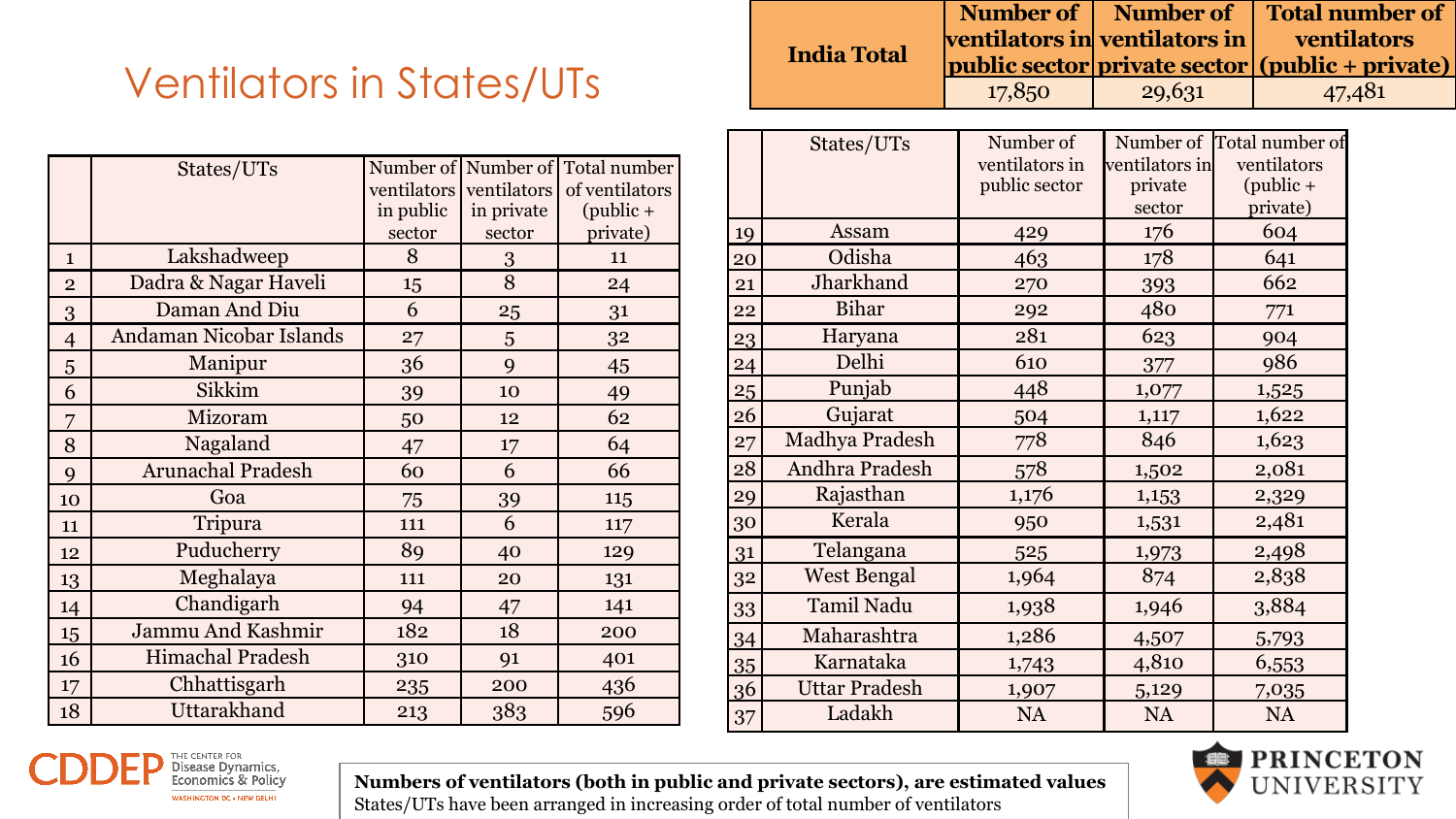# Ventilators in States/UTs

|                | States/UTs               |             |             | Number of Number of Total number |
|----------------|--------------------------|-------------|-------------|----------------------------------|
|                |                          | ventilators | ventilators | of ventilators                   |
|                |                          | in public   | in private  | $(public +$                      |
|                |                          | sector      | sector      | private)                         |
| $\mathbf{1}$   | Lakshadweep              | 8           | 3           | 11                               |
| $\overline{2}$ | Dadra & Nagar Haveli     | 15          | 8           | 24                               |
| 3              | Daman And Diu            | 6           | 25          | 31                               |
| $\overline{4}$ | Andaman Nicobar Islands  | 27          | 5           | 32                               |
| 5              | Manipur                  | 36          | 9           | 45                               |
| 6              | Sikkim                   | 39          | 10          | 49                               |
| 7              | Mizoram                  | 50          | 12          | 62                               |
| 8              | Nagaland                 | 47          | 17          | 64                               |
| 9              | <b>Arunachal Pradesh</b> | 60          | 6           | 66                               |
| 10             | Goa                      | 75          | 39          | 115                              |
| 11             | Tripura                  | 111         | 6           | 117                              |
| 12             | Puducherry               | 89          | 40          | 129                              |
| 13             | Meghalaya                | 111         | 20          | 131                              |
| 14             | Chandigarh               | 94          | 47          | 141                              |
| 15             | Jammu And Kashmir        | 182         | 18          | 200                              |
| 16             | Himachal Pradesh         | 310         | 91          | 401                              |
| 17             | Chhattisgarh             | 235         | 200         | 436                              |
| 18             | Uttarakhand              | 213         | 383         | 596                              |

|                    |        |        | Number of   Number of   Total number of                |
|--------------------|--------|--------|--------------------------------------------------------|
|                    |        |        | $ $ ventilators in $ $ ventilators in $ $ ventilators  |
| <b>India Total</b> |        |        | <i>public sector private sector (public + private)</i> |
|                    | 17,850 | 29,631 | 47,481                                                 |

|    | States/UTs           | Number of      |                | Number of Total number of |
|----|----------------------|----------------|----------------|---------------------------|
|    |                      | ventilators in | ventilators in | ventilators               |
|    |                      | public sector  | private        | $(public +$               |
|    |                      |                | sector         | private)                  |
| 19 | Assam                | 429            | 176            | 604                       |
| 20 | Odisha               | 463            | 178            | 641                       |
| 21 | Jharkhand            | 270            | 393            | 662                       |
| 22 | <b>Bihar</b>         | 292            | 480            | 771                       |
| 23 | Haryana              | 281            | 623            | 904                       |
| 24 | Delhi                | 610            | 377            | 986                       |
| 25 | Punjab               | 448            | 1,077          | 1,525                     |
| 26 | Gujarat              | 504            | 1,117          | 1,622                     |
| 27 | Madhya Pradesh       | 778            | 846            | 1,623                     |
| 28 | Andhra Pradesh       | 578            | 1,502          | 2,081                     |
| 29 | Rajasthan            | 1,176          | 1,153          | 2,329                     |
| 30 | Kerala               | 950            | 1,531          | 2,481                     |
| 31 | Telangana            | 525            | 1,973          | 2,498                     |
| 32 | <b>West Bengal</b>   | 1,964          | 874            | 2,838                     |
| 33 | Tamil Nadu           | 1,938          | 1,946          | 3,884                     |
| 34 | Maharashtra          | 1,286          | 4,507          | 5,793                     |
| 35 | Karnataka            | 1,743          | 4,810          | 6,553                     |
| 36 | <b>Uttar Pradesh</b> | 1,907          | 5,129          | 7,035                     |
| 37 | Ladakh               | NA             | <b>NA</b>      | NA                        |



**Numbers of ventilators (both in public and private sectors), are estimated values** States/UTs have been arranged in increasing order of total number of ventilators

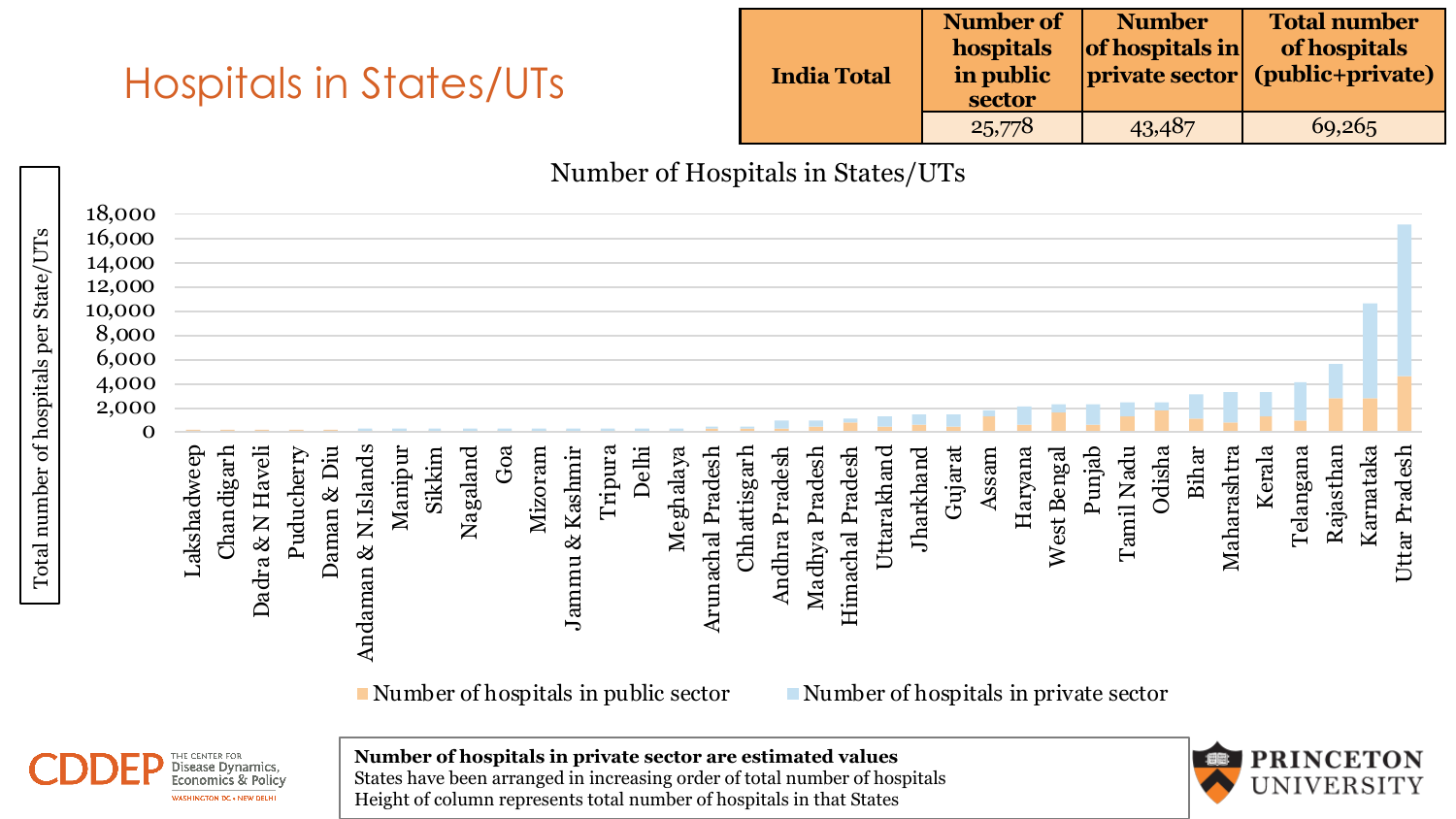#### Hospitals in States/UTs

| <b>India Total</b> | Number of<br>hospitals<br>in public<br>sector | <b>Number</b><br>of hospitals in | <b>Total number</b><br>of hospitals<br>  private sector (public+private) |
|--------------------|-----------------------------------------------|----------------------------------|--------------------------------------------------------------------------|
|                    | 25,778                                        | 43,487                           | 69,265                                                                   |

Number of Hospitals in States/UTs

| 18,000<br>16,000<br>14,000<br>12,000<br>10,000<br>8,000<br>6,000<br>4,000 |             |            |                  |            |             |                                         |                                                 |        |          |     |         |                    |         |       |           |                   |              |                |                |                  |             |                                                    |         |       |         |             |        |               |        |       |             |        |           |           |           |                  |
|---------------------------------------------------------------------------|-------------|------------|------------------|------------|-------------|-----------------------------------------|-------------------------------------------------|--------|----------|-----|---------|--------------------|---------|-------|-----------|-------------------|--------------|----------------|----------------|------------------|-------------|----------------------------------------------------|---------|-------|---------|-------------|--------|---------------|--------|-------|-------------|--------|-----------|-----------|-----------|------------------|
| Total number of hospitals per State/UTs<br>2,000<br>0                     | Lakshadweep | Chandigarh | Dadra & N Haveli | Puducherry | Daman & Diu | <b>N.Islands</b><br>$\infty$<br>Andaman | Manipur<br>Number of hospitals in public sector | Sikkim | Nagaland | Goa | Mizoram | & Kashmir<br>Jammu | Tripura | Delhi | Meghalaya | Arunachal Pradesh | Chhattisgarh | Andhra Pradesh | Madhya Pradesh | Himachal Pradesh | Uttarakhand | Jharkhand<br>Number of hospitals in private sector | Gujarat | Assam | Haryana | West Bengal | Punjab | Nadu<br>Tamil | Odisha | Bihar | Maharashtra | Kerala | Telangana | Rajasthan | Karnataka | Pradesh<br>Uttar |



**Number of hospitals in private sector are estimated values**



States have been arranged in increasing order of total number of hospitals Height of column represents total number of hospitals in that States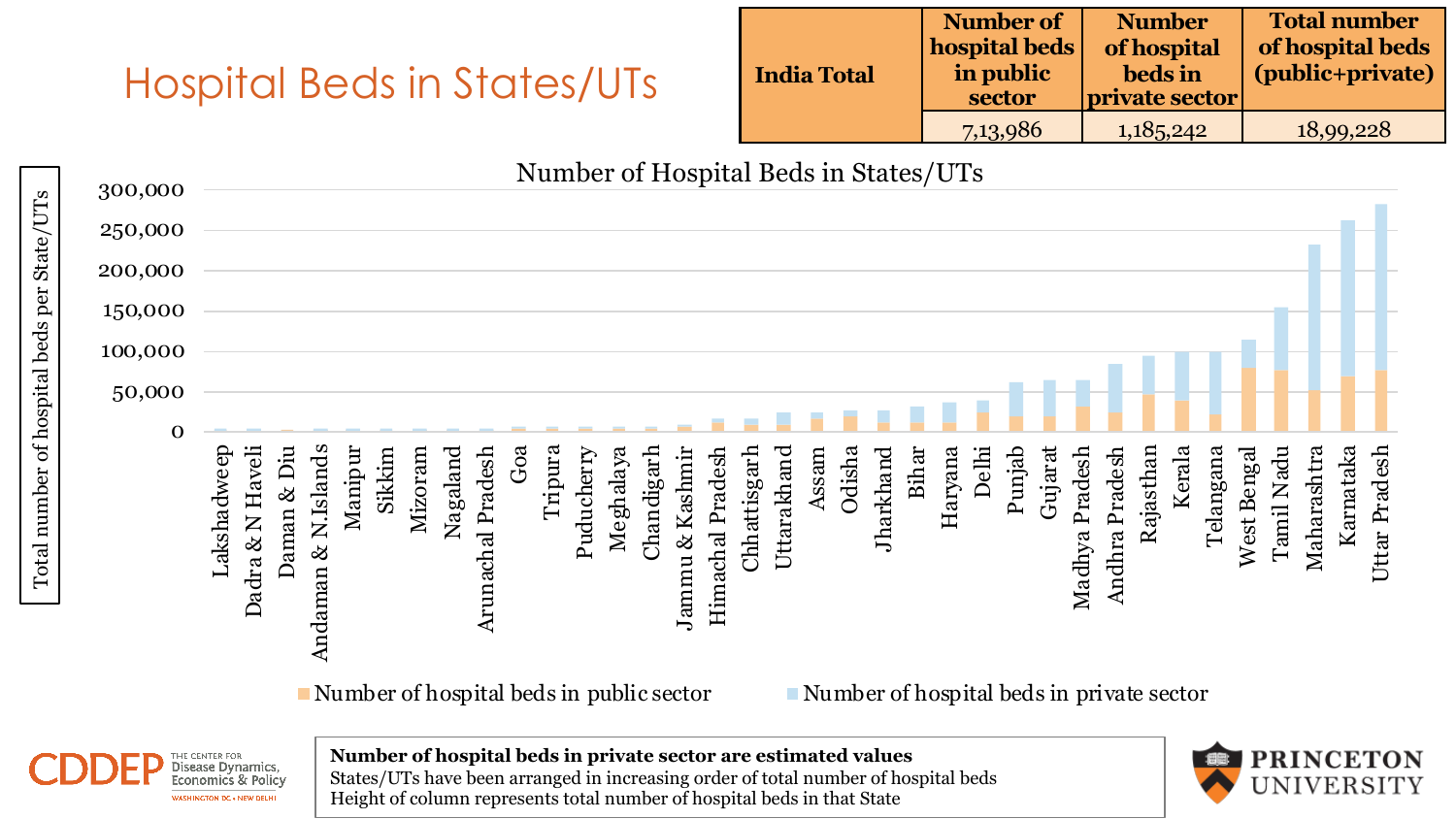#### Hospital Beds in States/UTs

| <b>India Total</b> | Number of<br>hospital beds<br>in public<br>sector | <b>Number</b><br>of hospital<br>beds in<br>private sector | <b>Total number</b><br>of hospital beds<br>(public+private) |
|--------------------|---------------------------------------------------|-----------------------------------------------------------|-------------------------------------------------------------|
|                    | 7,13,986                                          | 1,185,242                                                 | 18,99,228                                                   |

Number of Hospital Beds in States/UTs 300,000 Total number of hospital beds per State/UTs250,000 200,000 150,000 100,000 50,000  $\Omega$ Sikkim Mizoram Goa Tripura Odisha Bihar Delhi Punjab Kerala Lakshadweep Dadra & N Haveli Dadra & N Haveli Daman & Diu Andaman & N.Islands Andaman & N.Islands Manipur Arunachal Pradesh Chandigarh<br>Jammu & Kashmir Chhattisgarh Uttarakhand Gujarat Rajasthan Telangana West Bengal Tamil Nadu Maharashtra Karnataka Uttar Pradesh Nagaland Arunachal Pradesh Puducherry Meghalaya Jammu & Kashmir Himachal Pradesh Himachal Pradesh Assam Jharkhand Haryana Madhya Pradesh Madhya Pradesh Andhra Pradesh Andhra Pradesh West Bengal

Number of hospital beds in public sector Number of hospital beds in private sector



Total number of hospital beds per State/UTs

**Number of hospital beds in private sector are estimated values** States/UTs have been arranged in increasing order of total number of hospital beds Height of column represents total number of hospital beds in that State

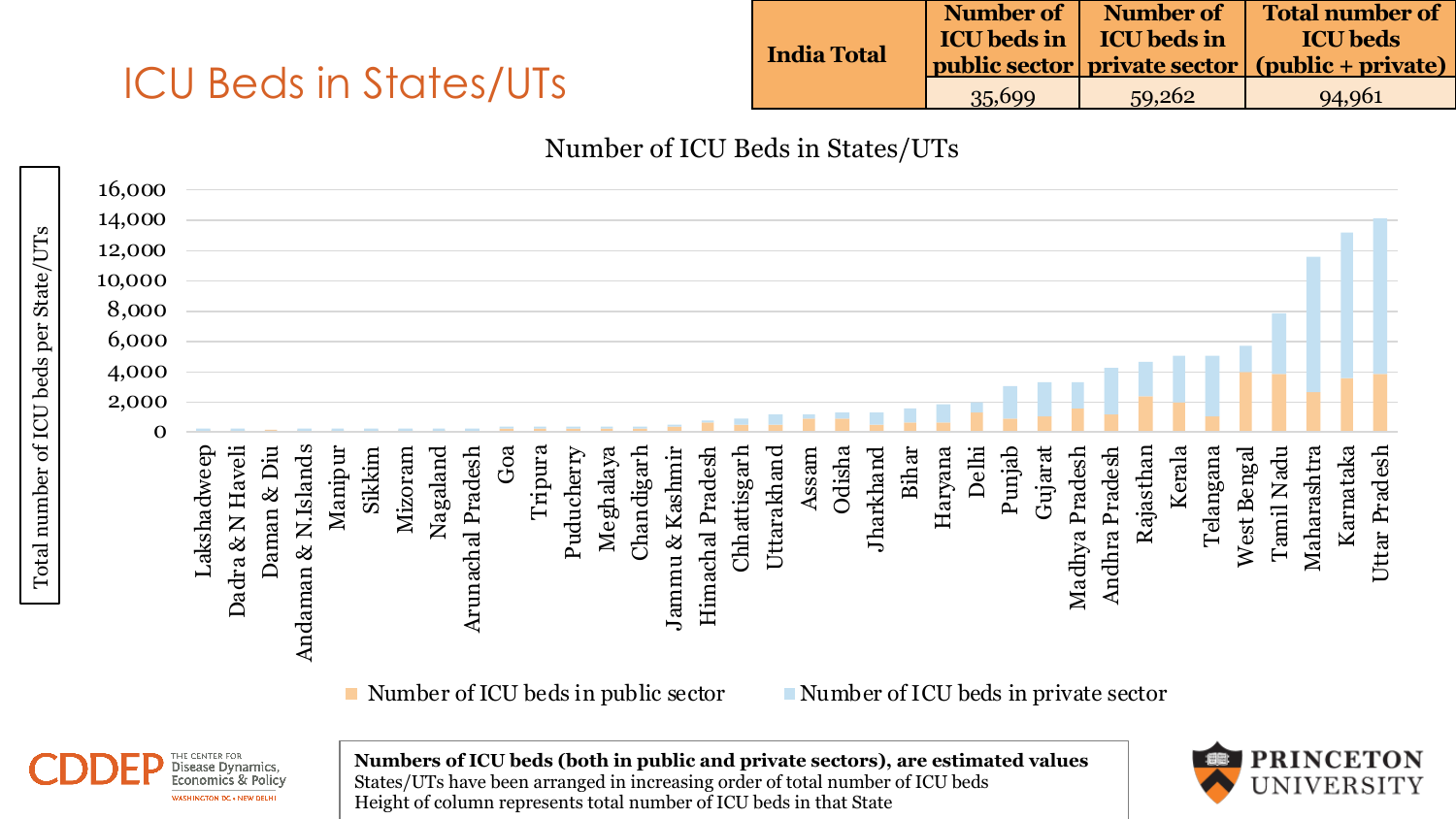### ICU Beds in States/UTs

|                    | Number of | Number of                             | Total number of                                                         |
|--------------------|-----------|---------------------------------------|-------------------------------------------------------------------------|
| <b>India Total</b> |           | <b>ICU</b> beds in <b>ICU</b> beds in | <b>ICU</b> beds                                                         |
|                    |           |                                       | $\vert$ public sector $\vert$ private sector $\vert$ (public + private) |
|                    | 35,699    | 59.262                                | 94,961                                                                  |

#### Number of ICU Beds in States/UTs

|                          | 16,000 |             |                  |             |                     |         |        |         |          |                   |       |         |            |           |            |                 |                  |              |             |       |        |           |       |         |       |        |         |                |                |           |        |           |             |            |             |           |               |
|--------------------------|--------|-------------|------------------|-------------|---------------------|---------|--------|---------|----------|-------------------|-------|---------|------------|-----------|------------|-----------------|------------------|--------------|-------------|-------|--------|-----------|-------|---------|-------|--------|---------|----------------|----------------|-----------|--------|-----------|-------------|------------|-------------|-----------|---------------|
| State/UTs                | 14,000 |             |                  |             |                     |         |        |         |          |                   |       |         |            |           |            |                 |                  |              |             |       |        |           |       |         |       |        |         |                |                |           |        |           |             |            |             |           |               |
|                          | 12,000 |             |                  |             |                     |         |        |         |          |                   |       |         |            |           |            |                 |                  |              |             |       |        |           |       |         |       |        |         |                |                |           |        |           |             |            |             |           |               |
|                          | 10,000 |             |                  |             |                     |         |        |         |          |                   |       |         |            |           |            |                 |                  |              |             |       |        |           |       |         |       |        |         |                |                |           |        |           |             |            |             |           |               |
|                          | 8,000  |             |                  |             |                     |         |        |         |          |                   |       |         |            |           |            |                 |                  |              |             |       |        |           |       |         |       |        |         |                |                |           |        |           |             |            |             |           |               |
| per                      | 6,000  |             |                  |             |                     |         |        |         |          |                   |       |         |            |           |            |                 |                  |              |             |       |        |           |       |         |       |        |         |                |                |           |        |           |             |            |             |           |               |
|                          | 4,000  |             |                  |             |                     |         |        |         |          |                   |       |         |            |           |            |                 |                  |              |             |       |        |           |       |         |       |        |         |                |                |           |        |           |             |            |             |           |               |
|                          | 2,000  |             |                  |             |                     |         |        |         |          |                   |       |         |            |           |            |                 |                  |              |             |       |        |           |       |         |       |        |         |                |                |           |        |           |             |            |             |           |               |
|                          | 0      |             |                  |             |                     |         |        |         |          |                   |       |         |            |           |            |                 |                  |              |             |       |        |           |       |         |       |        |         |                |                |           |        |           |             |            |             |           |               |
| Total number of ICU beds |        | Lakshadweep | Dadra & N Haveli | Daman & Diu | Andaman & N.Islands | Manipur | Sikkim | Mizoram | Nagaland | Arunachal Pradesh | $G$ a | Tripura | Puducherry | Meghalaya | Chandigarh | Jammu & Kashmir | Himachal Pradesh | Chhattisgarh | Uttarakhand | Assam | Odisha | Jharkhand | Bihar | Haryana | Delhi | Punjab | Gujarat | Madhya Pradesh | Andhra Pradesh | Rajasthan | Kerala | Telangana | West Bengal | Tamil Nadu | Maharashtra | Karnataka | Uttar Pradesh |

Number of ICU beds in public sector Number of ICU beds in private sector



**Numbers of ICU beds (both in public and private sectors), are estimated values** States/UTs have been arranged in increasing order of total number of ICU beds Height of column represents total number of ICU beds in that State

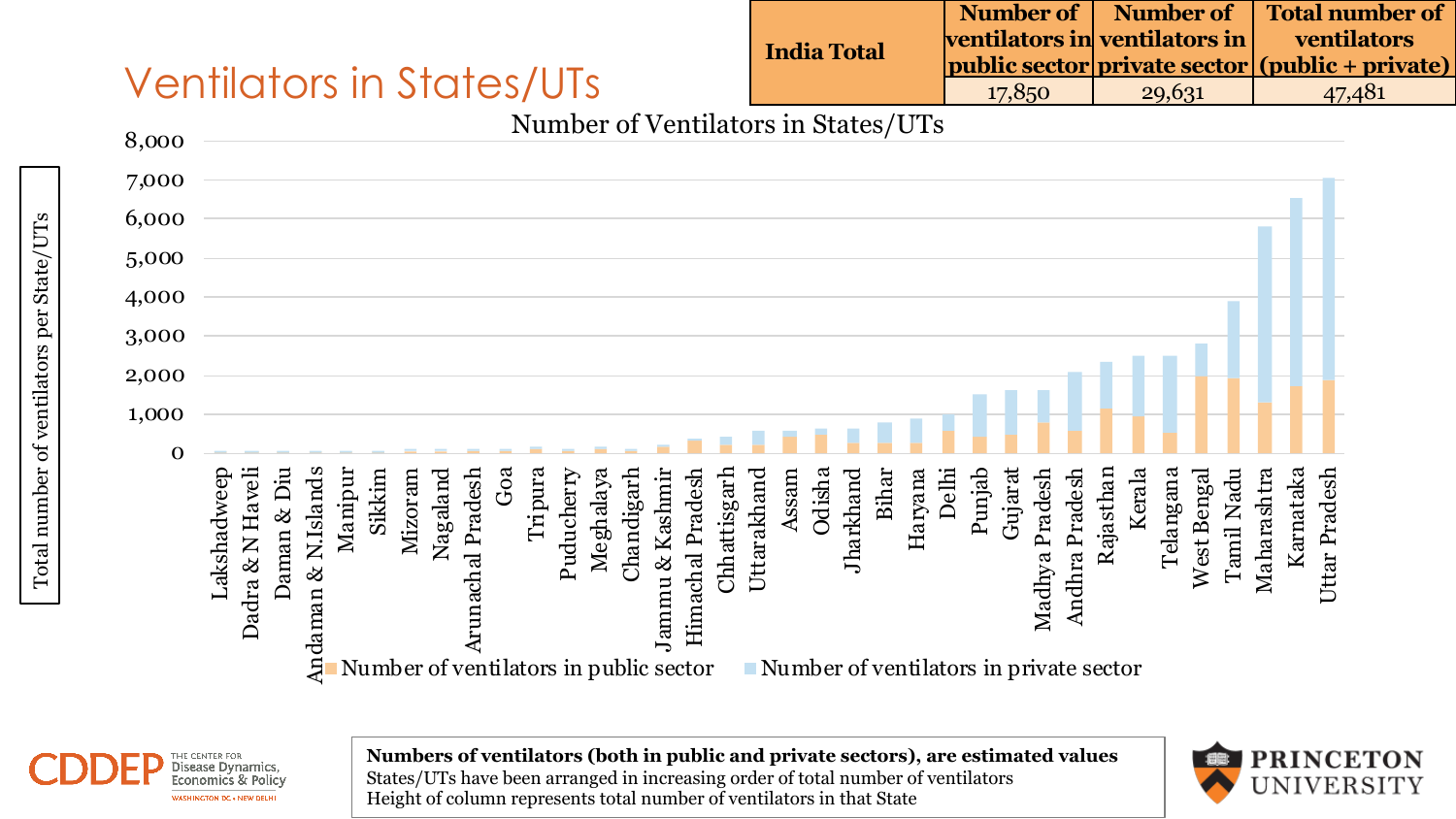## Ventilators in States/UTs

|                    |        |                               | Number of   Number of   Total number of         |
|--------------------|--------|-------------------------------|-------------------------------------------------|
| <b>India Total</b> |        | ventilators in ventilators in | ventilators                                     |
|                    |        |                               | public sector private sector (public + private) |
|                    | 17.850 | 29.631                        | 47.481                                          |



Disease Dynamics Economics & Policy WASHINGTON DC . NEW DELHI

**Numbers of ventilators (both in public and private sectors), are estimated values** States/UTs have been arranged in increasing order of total number of ventilators Height of column represents total number of ventilators in that State



47,481